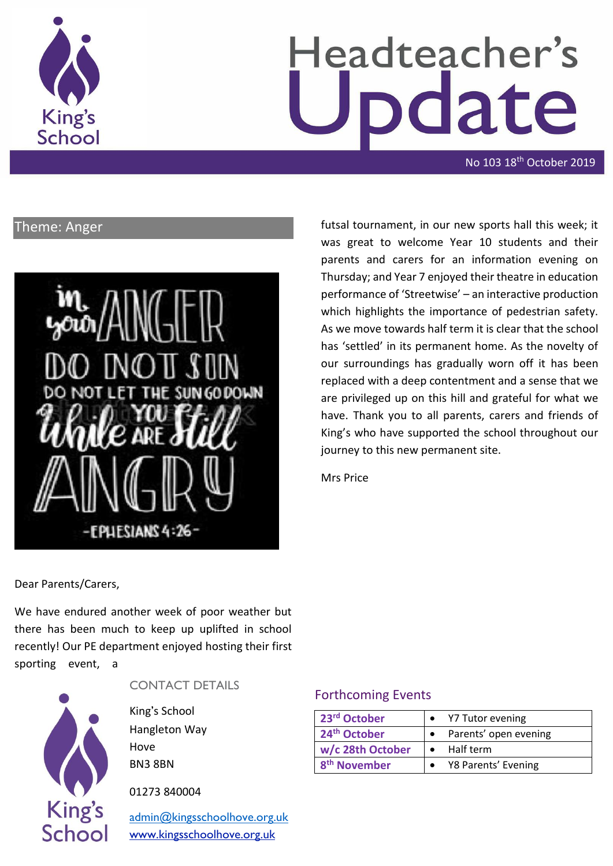

# Headteacher's date

No 103 18th October 2019

## Theme: Anger



futsal tournament, in our new sports hall this week; it was great to welcome Year 10 students and their parents and carers for an information evening on Thursday; and Year 7 enjoyed their theatre in education performance of 'Streetwise' – an interactive production which highlights the importance of pedestrian safety. As we move towards half term it is clear that the school has 'settled' in its permanent home. As the novelty of our surroundings has gradually worn off it has been replaced with a deep contentment and a sense that we are privileged up on this hill and grateful for what we have. Thank you to all parents, carers and friends of King's who have supported the school throughout our journey to this new permanent site.

Mrs Price

Dear Parents/Carers,

We have endured another week of poor weather but there has been much to keep up uplifted in school recently! Our PE department enjoyed hosting their first sporting event, a



#### CONTACT DETAILS

King's School Hangleton Way Hove BN3 8BN

01273 840004

[admin@kingsschoolhove.org.uk](mailto:admin@kingsschoolhove.org.uk) [www.kingsschoolhove.org.uk](http://www.kingsschoolhove.org.uk/)

#### Forthcoming Events

| 23rd October             | Y7 Tutor evening      |
|--------------------------|-----------------------|
| 24 <sup>th</sup> October | Parents' open evening |
| w/c 28th October         | Half term             |
| 8 <sup>th</sup> November | Y8 Parents' Evening   |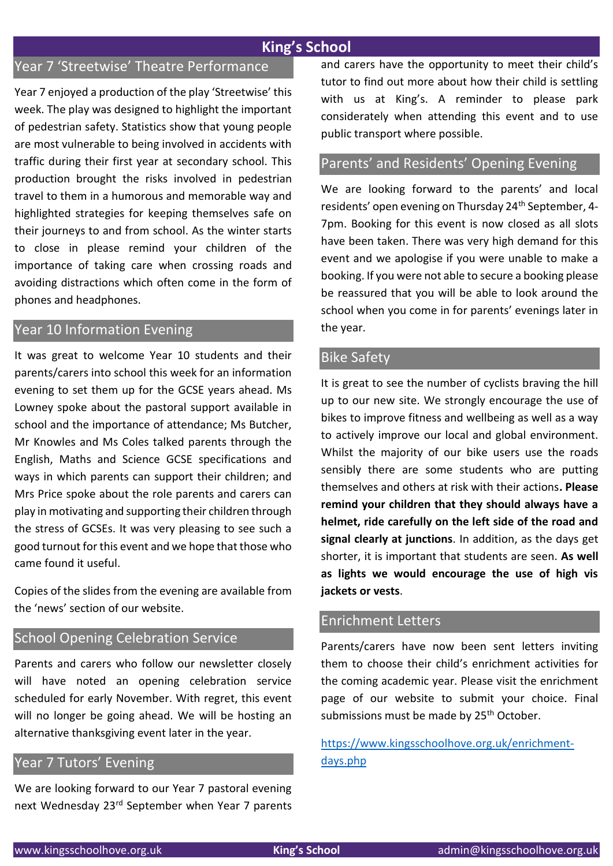## **King's School**

## Year 7 'Streetwise' Theatre Performance

Year 7 enjoyed a production of the play 'Streetwise' this week. The play was designed to highlight the important of pedestrian safety. Statistics show that young people are most vulnerable to being involved in accidents with traffic during their first year at secondary school. This production brought the risks involved in pedestrian travel to them in a humorous and memorable way and highlighted strategies for keeping themselves safe on their journeys to and from school. As the winter starts to close in please remind your children of the importance of taking care when crossing roads and avoiding distractions which often come in the form of phones and headphones.

### Year 10 Information Evening

It was great to welcome Year 10 students and their parents/carers into school this week for an information evening to set them up for the GCSE years ahead. Ms Lowney spoke about the pastoral support available in school and the importance of attendance; Ms Butcher, Mr Knowles and Ms Coles talked parents through the English, Maths and Science GCSE specifications and ways in which parents can support their children; and Mrs Price spoke about the role parents and carers can play in motivating and supporting their children through the stress of GCSEs. It was very pleasing to see such a good turnout for this event and we hope that those who came found it useful.

Copies of the slides from the evening are available from the 'news' section of our website.

### School Opening Celebration Service

Parents and carers who follow our newsletter closely will have noted an opening celebration service scheduled for early November. With regret, this event will no longer be going ahead. We will be hosting an alternative thanksgiving event later in the year.

#### Year 7 Tutors' Evening

We are looking forward to our Year 7 pastoral evening next Wednesday 23rd September when Year 7 parents and carers have the opportunity to meet their child's tutor to find out more about how their child is settling with us at King's. A reminder to please park considerately when attending this event and to use public transport where possible.

#### Parents' and Residents' Opening Evening

We are looking forward to the parents' and local residents' open evening on Thursday 24<sup>th</sup> September, 4-7pm. Booking for this event is now closed as all slots have been taken. There was very high demand for this event and we apologise if you were unable to make a booking. If you were not able to secure a booking please be reassured that you will be able to look around the school when you come in for parents' evenings later in the year.

#### Bike Safety

It is great to see the number of cyclists braving the hill up to our new site. We strongly encourage the use of bikes to improve fitness and wellbeing as well as a way to actively improve our local and global environment. Whilst the majority of our bike users use the roads sensibly there are some students who are putting themselves and others at risk with their actions**. Please remind your children that they should always have a helmet, ride carefully on the left side of the road and signal clearly at junctions**. In addition, as the days get shorter, it is important that students are seen. **As well as lights we would encourage the use of high vis jackets or vests**.

#### Enrichment Letters

Parents/carers have now been sent letters inviting them to choose their child's enrichment activities for the coming academic year. Please visit the enrichment page of our website to submit your choice. Final submissions must be made by 25<sup>th</sup> October.

[https://www.kingsschoolhove.org.uk/enrichment](https://www.kingsschoolhove.org.uk/enrichment-days.php)[days.php](https://www.kingsschoolhove.org.uk/enrichment-days.php)